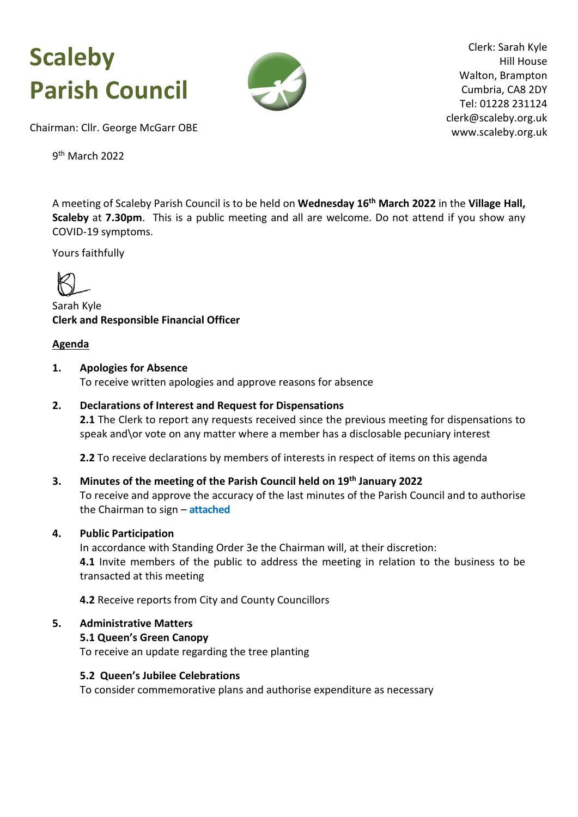# **Scaleby Parish Council**



Clerk: Sarah Kyle Hill House Walton, Brampton Cumbria, CA8 2DY Tel: 01228 231124 clerk@scaleby.org.uk www.scaleby.org.uk

Chairman: Cllr. George McGarr OBE

9<sup>th</sup> March 2022

A meeting of Scaleby Parish Council is to be held on **Wednesday 16th March 2022** in the **Village Hall, Scaleby** at **7.30pm**.This is a public meeting and all are welcome. Do not attend if you show any COVID-19 symptoms.

Yours faithfully



Sarah Kyle **Clerk and Responsible Financial Officer**

# **Agenda**

#### **1. Apologies for Absence**

To receive written apologies and approve reasons for absence

#### **2. Declarations of Interest and Request for Dispensations**

**2.1** The Clerk to report any requests received since the previous meeting for dispensations to speak and\or vote on any matter where a member has a disclosable pecuniary interest

**2.2** To receive declarations by members of interests in respect of items on this agenda

# **3. Minutes of the meeting of the Parish Council held on 19th January 2022** To receive and approve the accuracy of the last minutes of the Parish Council and to authorise the Chairman to sign – **[attached](#page-3-0)**

# **4. Public Participation**

In accordance with Standing Order 3e the Chairman will, at their discretion: **4.1** Invite members of the public to address the meeting in relation to the business to be transacted at this meeting

**4.2** Receive reports from City and County Councillors

#### **5. Administrative Matters**

#### **5.1 Queen's Green Canopy**

To receive an update regarding the tree planting

#### **5.2 Queen's Jubilee Celebrations**

To consider commemorative plans and authorise expenditure as necessary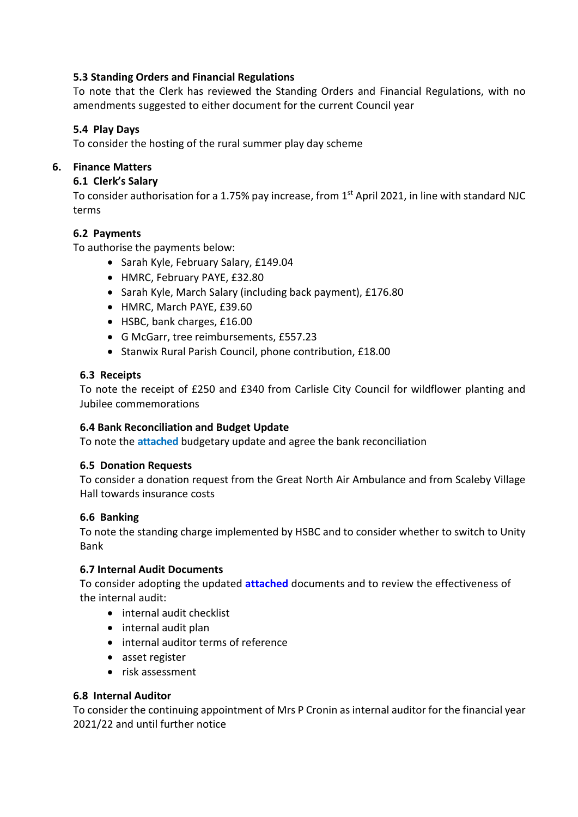# **5.3 Standing Orders and Financial Regulations**

To note that the Clerk has reviewed the Standing Orders and Financial Regulations, with no amendments suggested to either document for the current Council year

# **5.4 Play Days**

To consider the hosting of the rural summer play day scheme

# **6. Finance Matters**

# **6.1 Clerk's Salary**

To consider authorisation for a 1.75% pay increase, from 1<sup>st</sup> April 2021, in line with standard NJC terms

# **6.2 Payments**

To authorise the payments below:

- Sarah Kyle, February Salary, £149.04
- HMRC, February PAYE, £32.80
- Sarah Kyle, March Salary (including back payment), £176.80
- HMRC, March PAYE, £39.60
- HSBC, bank charges, £16.00
- G McGarr, tree reimbursements, £557.23
- Stanwix Rural Parish Council, phone contribution, £18.00

# **6.3 Receipts**

To note the receipt of £250 and £340 from Carlisle City Council for wildflower planting and Jubilee commemorations

# **6.4 Bank Reconciliation and Budget Update**

To note the **[attached](#page-6-0)** budgetary update and agree the bank reconciliation

# **6.5 Donation Requests**

To consider a donation request from the Great North Air Ambulance and from Scaleby Village Hall towards insurance costs

# **6.6 Banking**

To note the standing charge implemented by HSBC and to consider whether to switch to Unity Bank

# **6.7 Internal Audit Documents**

To consider adopting the updated **[attached](#page-7-0)** documents and to review the effectiveness of the internal audit:

- internal audit checklist
- internal audit plan
- internal auditor terms of reference
- asset register
- risk assessment

# **6.8 Internal Auditor**

To consider the continuing appointment of Mrs P Cronin as internal auditor for the financial year 2021/22 and until further notice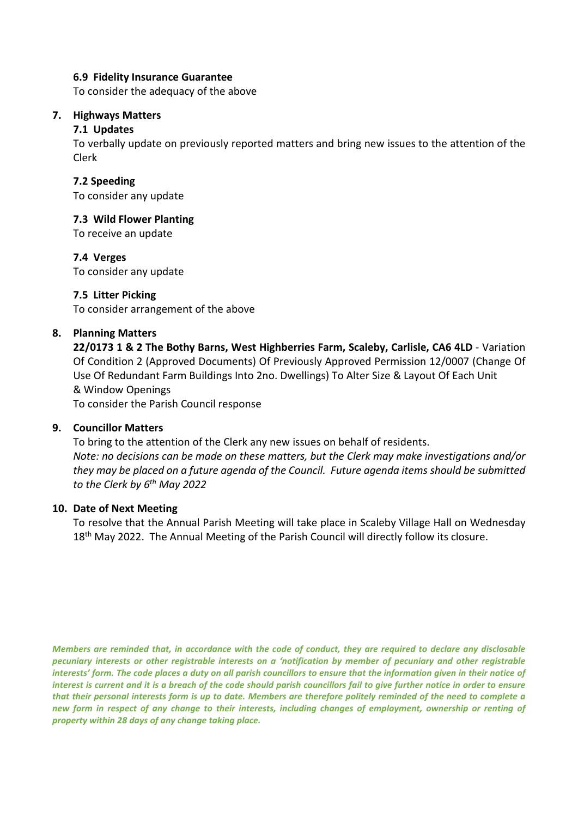#### **6.9 Fidelity Insurance Guarantee**

To consider the adequacy of the above

#### **7. Highways Matters**

#### **7.1 Updates**

To verbally update on previously reported matters and bring new issues to the attention of the Clerk

#### **7.2 Speeding**

To consider any update

# **7.3 Wild Flower Planting**

To receive an update

# **7.4 Verges**

To consider any update

#### **7.5 Litter Picking**

To consider arrangement of the above

#### **8. Planning Matters**

**22/0173 1 & 2 The Bothy Barns, West Highberries Farm, Scaleby, Carlisle, CA6 4LD** - Variation Of Condition 2 (Approved Documents) Of Previously Approved Permission 12/0007 (Change Of Use Of Redundant Farm Buildings Into 2no. Dwellings) To Alter Size & Layout Of Each Unit & Window Openings

To consider the Parish Council response

# **9. Councillor Matters**

To bring to the attention of the Clerk any new issues on behalf of residents. *Note: no decisions can be made on these matters, but the Clerk may make investigations and/or they may be placed on a future agenda of the Council. Future agenda items should be submitted to the Clerk by 6th May 2022*

#### **10. Date of Next Meeting**

To resolve that the Annual Parish Meeting will take place in Scaleby Village Hall on Wednesday 18<sup>th</sup> May 2022. The Annual Meeting of the Parish Council will directly follow its closure.

*Members are reminded that, in accordance with the code of conduct, they are required to declare any disclosable pecuniary interests or other registrable interests on a 'notification by member of pecuniary and other registrable interests' form. The code places a duty on all parish councillors to ensure that the information given in their notice of interest is current and it is a breach of the code should parish councillors fail to give further notice in order to ensure that their personal interests form is up to date. Members are therefore politely reminded of the need to complete a new form in respect of any change to their interests, including changes of employment, ownership or renting of property within 28 days of any change taking place.*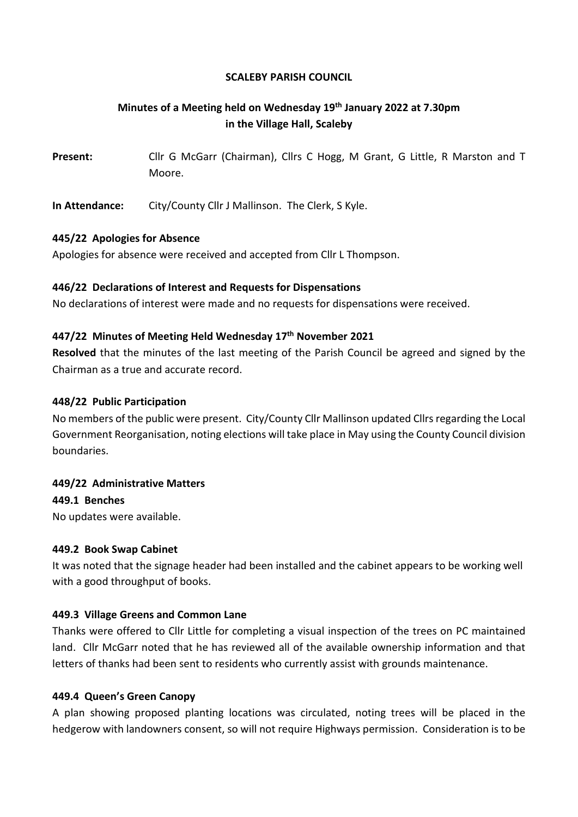#### **SCALEBY PARISH COUNCIL**

# <span id="page-3-0"></span>**Minutes of a Meeting held on Wednesday 19th January 2022 at 7.30pm in the Village Hall, Scaleby**

**Present:** Cllr G McGarr (Chairman), Cllrs C Hogg, M Grant, G Little, R Marston and T Moore.

**In Attendance:** City/County Cllr J Mallinson. The Clerk, S Kyle.

#### **445/22 Apologies for Absence**

Apologies for absence were received and accepted from Cllr L Thompson.

# **446/22 Declarations of Interest and Requests for Dispensations**

No declarations of interest were made and no requests for dispensations were received.

#### **447/22 Minutes of Meeting Held Wednesday 17th November 2021**

**Resolved** that the minutes of the last meeting of the Parish Council be agreed and signed by the Chairman as a true and accurate record.

#### **448/22 Public Participation**

No members of the public were present. City/County Cllr Mallinson updated Cllrs regarding the Local Government Reorganisation, noting elections will take place in May using the County Council division boundaries.

# **449/22 Administrative Matters**

**449.1 Benches**

No updates were available.

# **449.2 Book Swap Cabinet**

It was noted that the signage header had been installed and the cabinet appears to be working well with a good throughput of books.

# **449.3 Village Greens and Common Lane**

Thanks were offered to Cllr Little for completing a visual inspection of the trees on PC maintained land. Cllr McGarr noted that he has reviewed all of the available ownership information and that letters of thanks had been sent to residents who currently assist with grounds maintenance.

# **449.4 Queen's Green Canopy**

A plan showing proposed planting locations was circulated, noting trees will be placed in the hedgerow with landowners consent, so will not require Highways permission. Consideration is to be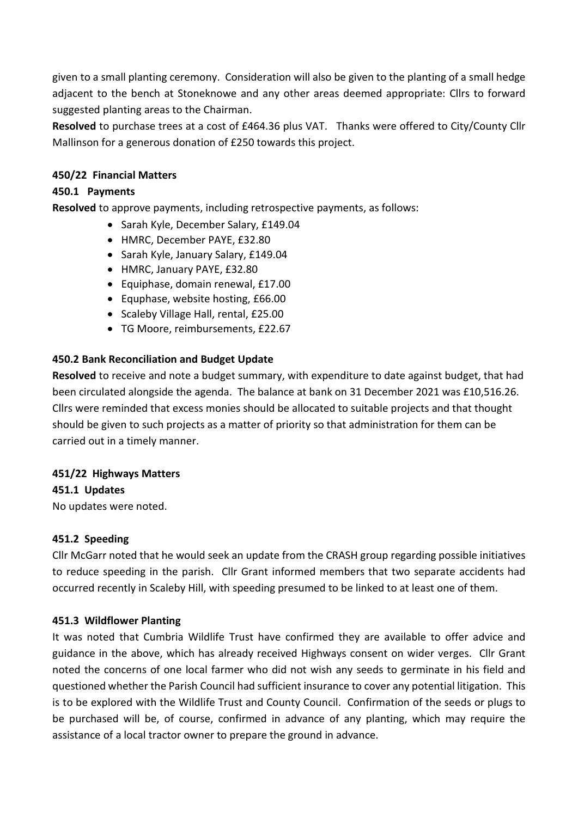given to a small planting ceremony. Consideration will also be given to the planting of a small hedge adjacent to the bench at Stoneknowe and any other areas deemed appropriate: Cllrs to forward suggested planting areas to the Chairman.

**Resolved** to purchase trees at a cost of £464.36 plus VAT. Thanks were offered to City/County Cllr Mallinson for a generous donation of £250 towards this project.

# **450/22 Financial Matters**

# **450.1 Payments**

**Resolved** to approve payments, including retrospective payments, as follows:

- Sarah Kyle, December Salary, £149.04
- HMRC, December PAYE, £32.80
- Sarah Kyle, January Salary, £149.04
- HMRC, January PAYE, £32.80
- Equiphase, domain renewal, £17.00
- Equphase, website hosting, £66.00
- Scaleby Village Hall, rental, £25.00
- TG Moore, reimbursements, £22.67

# **450.2 Bank Reconciliation and Budget Update**

**Resolved** to receive and note a budget summary, with expenditure to date against budget, that had been circulated alongside the agenda. The balance at bank on 31 December 2021 was £10,516.26. Cllrs were reminded that excess monies should be allocated to suitable projects and that thought should be given to such projects as a matter of priority so that administration for them can be carried out in a timely manner.

# **451/22 Highways Matters**

**451.1 Updates**

No updates were noted.

# **451.2 Speeding**

Cllr McGarr noted that he would seek an update from the CRASH group regarding possible initiatives to reduce speeding in the parish. Cllr Grant informed members that two separate accidents had occurred recently in Scaleby Hill, with speeding presumed to be linked to at least one of them.

# **451.3 Wildflower Planting**

It was noted that Cumbria Wildlife Trust have confirmed they are available to offer advice and guidance in the above, which has already received Highways consent on wider verges. Cllr Grant noted the concerns of one local farmer who did not wish any seeds to germinate in his field and questioned whether the Parish Council had sufficient insurance to cover any potential litigation. This is to be explored with the Wildlife Trust and County Council. Confirmation of the seeds or plugs to be purchased will be, of course, confirmed in advance of any planting, which may require the assistance of a local tractor owner to prepare the ground in advance.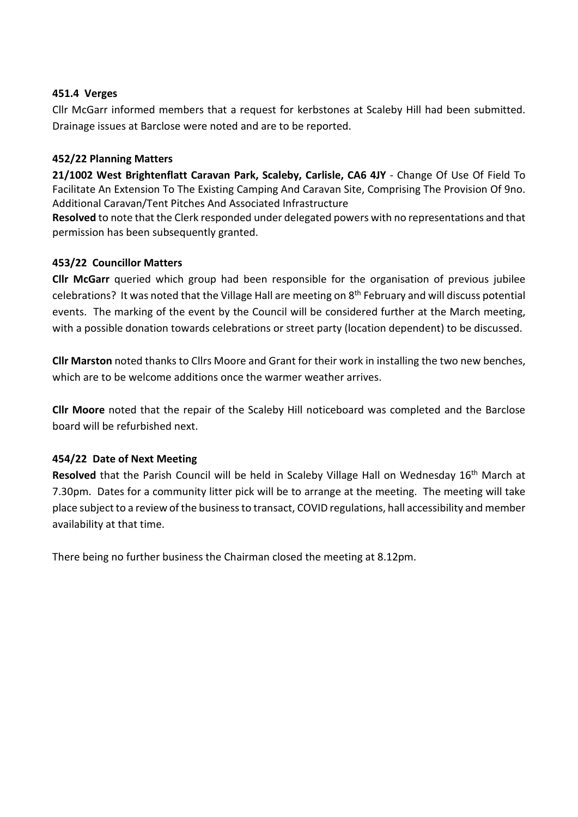# **451.4 Verges**

Cllr McGarr informed members that a request for kerbstones at Scaleby Hill had been submitted. Drainage issues at Barclose were noted and are to be reported.

# **452/22 Planning Matters**

**21/1002 West Brightenflatt Caravan Park, Scaleby, Carlisle, CA6 4JY** - Change Of Use Of Field To Facilitate An Extension To The Existing Camping And Caravan Site, Comprising The Provision Of 9no. Additional Caravan/Tent Pitches And Associated Infrastructure

**Resolved** to note that the Clerk responded under delegated powers with no representations and that permission has been subsequently granted.

#### **453/22 Councillor Matters**

**Cllr McGarr** queried which group had been responsible for the organisation of previous jubilee celebrations? It was noted that the Village Hall are meeting on 8<sup>th</sup> February and will discuss potential events. The marking of the event by the Council will be considered further at the March meeting, with a possible donation towards celebrations or street party (location dependent) to be discussed.

**Cllr Marston** noted thanks to Cllrs Moore and Grant for their work in installing the two new benches, which are to be welcome additions once the warmer weather arrives.

**Cllr Moore** noted that the repair of the Scaleby Hill noticeboard was completed and the Barclose board will be refurbished next.

#### **454/22 Date of Next Meeting**

**Resolved** that the Parish Council will be held in Scaleby Village Hall on Wednesday 16<sup>th</sup> March at 7.30pm. Dates for a community litter pick will be to arrange at the meeting. The meeting will take place subject to a review of the business to transact, COVID regulations, hall accessibility and member availability at that time.

There being no further business the Chairman closed the meeting at 8.12pm.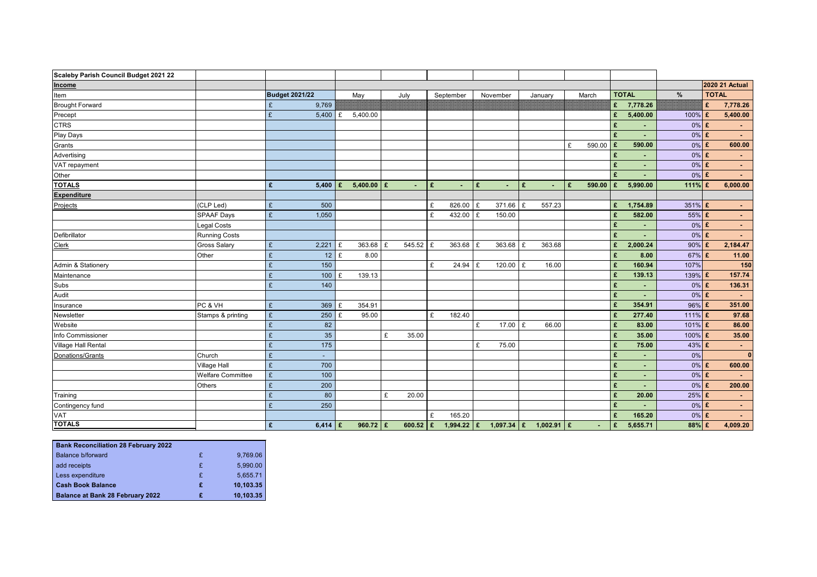<span id="page-6-0"></span>

| Scaleby Parish Council Budget 2021 22 |                          |                               |                       |                |   |            |   |              |   |                         |   |         |   |                |                      |                |           |              |                       |
|---------------------------------------|--------------------------|-------------------------------|-----------------------|----------------|---|------------|---|--------------|---|-------------------------|---|---------|---|----------------|----------------------|----------------|-----------|--------------|-----------------------|
| Income                                |                          |                               |                       |                |   |            |   |              |   |                         |   |         |   |                |                      |                |           |              | <b>2020 21 Actual</b> |
| Item                                  |                          |                               | <b>Budget 2021/22</b> | May            |   | July       |   | September    |   | November                |   | January |   | March          |                      | <b>TOTAL</b>   | $\%$      | <b>TOTAL</b> |                       |
| <b>Brought Forward</b>                |                          |                               | 9,769                 |                |   |            |   |              |   |                         |   |         |   |                | £                    | 7,778.26       |           | £            | 7,778.26              |
| Precept                               |                          | £                             | 5,400                 | 5,400.00       |   |            |   |              |   |                         |   |         |   |                | £                    | 5,400.00       | 100%      | £            | 5,400.00              |
| <b>CTRS</b>                           |                          |                               |                       |                |   |            |   |              |   |                         |   |         |   |                | £                    |                | $0\%$ £   |              |                       |
| Play Days                             |                          |                               |                       |                |   |            |   |              |   |                         |   |         |   |                | £                    |                | $0\%$     | $\mathbf f$  | $\sim 10$             |
| Grants                                |                          |                               |                       |                |   |            |   |              |   |                         |   |         | £ | 590.00         | Ι£                   | 590.00         | $0\%$     | $\mathbf f$  | 600.00                |
| Advertising                           |                          |                               |                       |                |   |            |   |              |   |                         |   |         |   |                | £                    |                | 0%        | £            |                       |
| VAT repayment                         |                          |                               |                       |                |   |            |   |              |   |                         |   |         |   |                | £                    | $\blacksquare$ | $0\%$ £   |              | $\sim 100$            |
| Other                                 |                          |                               |                       |                |   |            |   |              |   |                         |   |         |   |                | £                    |                | $0\%$ £   |              | $\sim 10$             |
| <b>TOTALS</b>                         |                          | £                             | 5,400                 | $5,400.00$   £ |   | $\sim$     | £ |              | £ | $\sim$                  | E |         | £ | 590.00         | £                    | 5,990.00       | $111\%$ £ |              | 6,000.00              |
| <b>Expenditure</b>                    |                          |                               |                       |                |   |            |   |              |   |                         |   |         |   |                |                      |                |           |              |                       |
| Projects                              | (CLP Led)                | $\pounds$                     | 500                   |                |   |            | £ | 826.00       | £ | $371.66$ £              |   | 557.23  |   |                | £                    | 1,754.89       | 351% $E$  |              | $\sim 100$            |
|                                       | <b>SPAAF Days</b>        | £                             | 1,050                 |                |   |            | £ | 432.00       | £ | 150.00                  |   |         |   |                | £                    | 582.00         | $55\%$ £  |              | $\sim 100$            |
|                                       | Legal Costs              |                               |                       |                |   |            |   |              |   |                         |   |         |   |                | £                    |                | $0\%$ £   |              | $\sim$                |
| Defibrillator                         | <b>Running Costs</b>     |                               |                       |                |   |            |   |              |   |                         |   |         |   |                | £                    |                | 0%        | $\mathbf f$  | $\sim$ 10 $\,$        |
| <b>Clerk</b>                          | <b>Gross Salary</b>      | $\pounds$                     | 2,221                 | 363.68         | £ | 545.52     | £ | 363.68       | £ | $363.68$ £              |   | 363.68  |   |                | £                    | 2,000.24       | 90%       | £            | 2,184.47              |
|                                       | Other                    | £                             | 12                    | 8.00           |   |            |   |              |   |                         |   |         |   |                | £                    | 8.00           | 67% £     |              | 11.00                 |
| Admin & Stationery                    |                          | £                             | 150                   |                |   |            | £ | $24.94$ £    |   | $120.00$ $E$            |   | 16.00   |   |                | £                    | 160.94         | 107%      |              | 150                   |
| Maintenance                           |                          | £                             | 100                   | 139.13         |   |            |   |              |   |                         |   |         |   |                | £                    | 139.13         | 139%      | £            | 157.74                |
| Subs                                  |                          | £                             | 140                   |                |   |            |   |              |   |                         |   |         |   |                | £                    | ٠              | $0\%$     | $\mathbf f$  | 136.31                |
| Audit                                 |                          |                               |                       |                |   |            |   |              |   |                         |   |         |   |                | £                    |                | $0\%$ £   |              |                       |
| Insurance                             | PC & VH                  | $\pounds$                     | 369                   | 354.91         |   |            |   |              |   |                         |   |         |   |                | £                    | 354.91         | 96%       | $\epsilon$   | 351.00                |
| Newsletter                            | Stamps & printing        | £                             | 250                   | 95.00          |   |            | £ | 182.40       |   |                         |   |         |   |                | £                    | 277.40         | 111% $E$  |              | 97.68                 |
| Website                               |                          | £                             | 82                    |                |   |            |   |              | £ | $17.00$ £               |   | 66.00   |   |                | £                    | 83.00          | 101% $E$  |              | 86.00                 |
| Info Commissioner                     |                          | £                             | 35                    |                | £ | 35.00      |   |              |   |                         |   |         |   |                | £                    | 35.00          | 100%      | £            | 35.00                 |
| Village Hall Rental                   |                          | £                             | 175                   |                |   |            |   |              | £ | 75.00                   |   |         |   |                | £                    | 75.00          | 43%       | $\epsilon$   | $\sim 100$            |
| Donations/Grants                      | Church                   | $\mathbf{C}$<br>$\mathcal{L}$ |                       |                |   |            |   |              |   |                         |   |         |   |                | $\mathbf{c}$         |                | $0\%$     |              | $\bf{0}$              |
|                                       | <b>Village Hall</b>      | $\pounds$                     | 700                   |                |   |            |   |              |   |                         |   |         |   |                | £                    | $\blacksquare$ | $0\%$ £   |              | 600.00                |
|                                       | <b>Welfare Committee</b> | $\pounds$                     | 100                   |                |   |            |   |              |   |                         |   |         |   |                | £                    | $\blacksquare$ | $0\%$ £   |              | <b>Contract</b>       |
|                                       | <b>Others</b>            | £                             | 200                   |                |   |            |   |              |   |                         |   |         |   |                | £                    | $\blacksquare$ | $0\%$ £   |              | 200.00                |
| Training                              |                          | £                             | 80                    |                | £ | 20.00      |   |              |   |                         |   |         |   |                | $\pmb{\mathfrak{E}}$ | 20.00          | $25\%$ £  |              | $\sim 100$            |
| Contingency fund                      |                          | £                             | 250                   |                |   |            |   |              |   |                         |   |         |   |                | £                    |                | $0\%$ £   |              | $\sim 100$            |
| VAT                                   |                          |                               |                       |                |   |            | £ | 165.20       |   |                         |   |         |   |                | £                    | 165.20         | $0\%$ £   |              | $\sim 100$            |
| <b>TOTALS</b>                         |                          | $\mathbf f$                   | 6,414 £               | 960.72   £     |   | 600.52   £ |   | $1,994.22$ £ |   | 1,097.34 £ 1,002.91 $E$ |   |         |   | $\blacksquare$ | £                    | 5,655.71       | $88\%$ £  |              | 4,009.20              |

| <b>Bank Reconciliation 28 February 2022</b> |   |           |
|---------------------------------------------|---|-----------|
| <b>Balance b/forward</b>                    | £ | 9,769.06  |
| add receipts                                | £ | 5,990.00  |
| Less expenditure                            | £ | 5,655.71  |
| <b>Cash Book Balance</b>                    | £ | 10,103.35 |
| <b>Balance at Bank 28 February 2022</b>     | £ | 10,103.35 |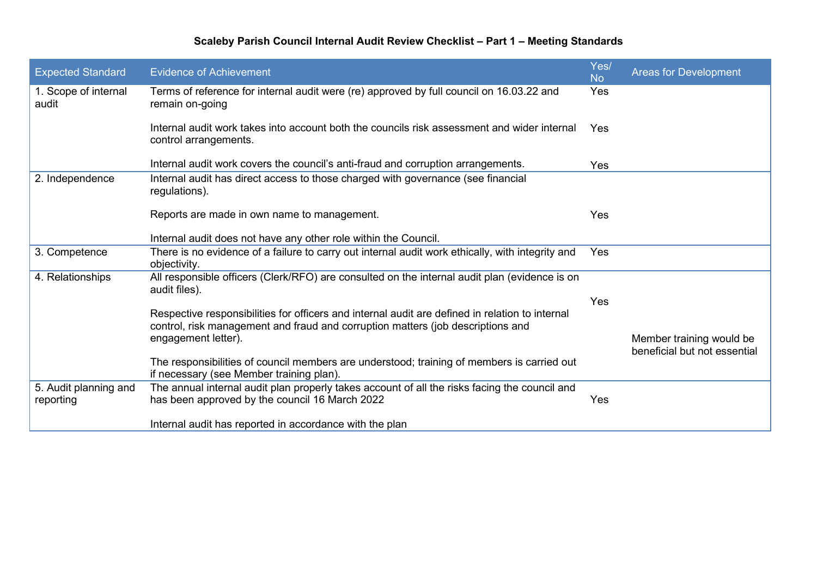# **Scaleby Parish Council Internal Audit Review Checklist – Part 1 – Meeting Standards**

<span id="page-7-0"></span>

| <b>Expected Standard</b>           | <b>Evidence of Achievement</b>                                                                                                                                                     | Yes/<br><b>No</b> | <b>Areas for Development</b>                             |
|------------------------------------|------------------------------------------------------------------------------------------------------------------------------------------------------------------------------------|-------------------|----------------------------------------------------------|
| 1. Scope of internal<br>audit      | Terms of reference for internal audit were (re) approved by full council on 16.03.22 and<br>remain on-going                                                                        | Yes               |                                                          |
|                                    | Internal audit work takes into account both the councils risk assessment and wider internal<br>control arrangements.                                                               | <b>Yes</b>        |                                                          |
|                                    | Internal audit work covers the council's anti-fraud and corruption arrangements.                                                                                                   | Yes               |                                                          |
| 2. Independence                    | Internal audit has direct access to those charged with governance (see financial<br>regulations).                                                                                  |                   |                                                          |
|                                    | Reports are made in own name to management.                                                                                                                                        | <b>Yes</b>        |                                                          |
|                                    | Internal audit does not have any other role within the Council.                                                                                                                    |                   |                                                          |
| 3. Competence                      | There is no evidence of a failure to carry out internal audit work ethically, with integrity and<br>objectivity.                                                                   | <b>Yes</b>        |                                                          |
| 4. Relationships                   | All responsible officers (Clerk/RFO) are consulted on the internal audit plan (evidence is on<br>audit files).                                                                     |                   |                                                          |
|                                    |                                                                                                                                                                                    | Yes               |                                                          |
|                                    | Respective responsibilities for officers and internal audit are defined in relation to internal<br>control, risk management and fraud and corruption matters (job descriptions and |                   |                                                          |
|                                    | engagement letter).                                                                                                                                                                |                   | Member training would be<br>beneficial but not essential |
|                                    | The responsibilities of council members are understood; training of members is carried out                                                                                         |                   |                                                          |
|                                    | if necessary (see Member training plan).                                                                                                                                           |                   |                                                          |
| 5. Audit planning and<br>reporting | The annual internal audit plan properly takes account of all the risks facing the council and<br>has been approved by the council 16 March 2022                                    | Yes               |                                                          |
|                                    | Internal audit has reported in accordance with the plan                                                                                                                            |                   |                                                          |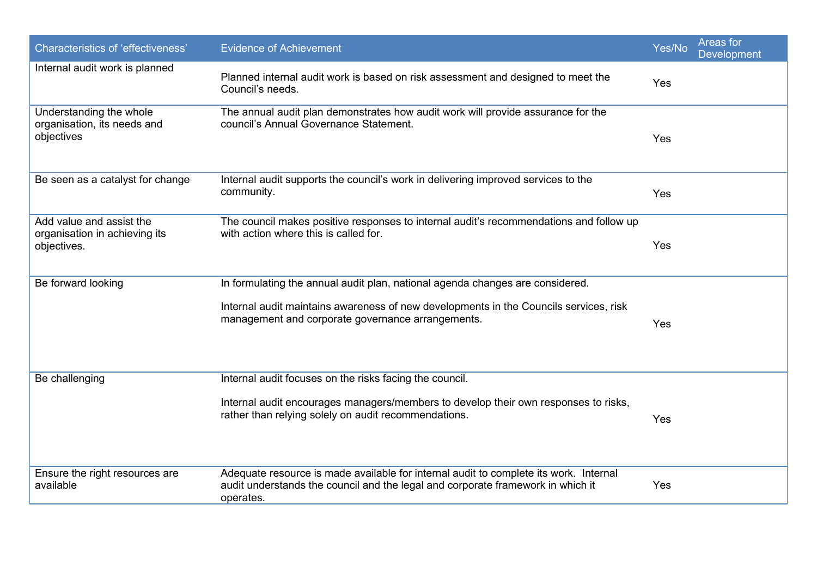| <b>Characteristics of 'effectiveness'</b>                                | <b>Evidence of Achievement</b>                                                                                                                                                                                              | Yes/No | Areas for<br><b>Development</b> |
|--------------------------------------------------------------------------|-----------------------------------------------------------------------------------------------------------------------------------------------------------------------------------------------------------------------------|--------|---------------------------------|
| Internal audit work is planned                                           | Planned internal audit work is based on risk assessment and designed to meet the<br>Council's needs.                                                                                                                        | Yes    |                                 |
| Understanding the whole<br>organisation, its needs and<br>objectives     | The annual audit plan demonstrates how audit work will provide assurance for the<br>council's Annual Governance Statement.                                                                                                  | Yes    |                                 |
| Be seen as a catalyst for change                                         | Internal audit supports the council's work in delivering improved services to the<br>community.                                                                                                                             | Yes    |                                 |
| Add value and assist the<br>organisation in achieving its<br>objectives. | The council makes positive responses to internal audit's recommendations and follow up<br>with action where this is called for.                                                                                             | Yes    |                                 |
| Be forward looking                                                       | In formulating the annual audit plan, national agenda changes are considered.<br>Internal audit maintains awareness of new developments in the Councils services, risk<br>management and corporate governance arrangements. | Yes    |                                 |
| Be challenging                                                           | Internal audit focuses on the risks facing the council.<br>Internal audit encourages managers/members to develop their own responses to risks,<br>rather than relying solely on audit recommendations.                      | Yes    |                                 |
| Ensure the right resources are<br>available                              | Adequate resource is made available for internal audit to complete its work. Internal<br>audit understands the council and the legal and corporate framework in which it<br>operates.                                       | Yes    |                                 |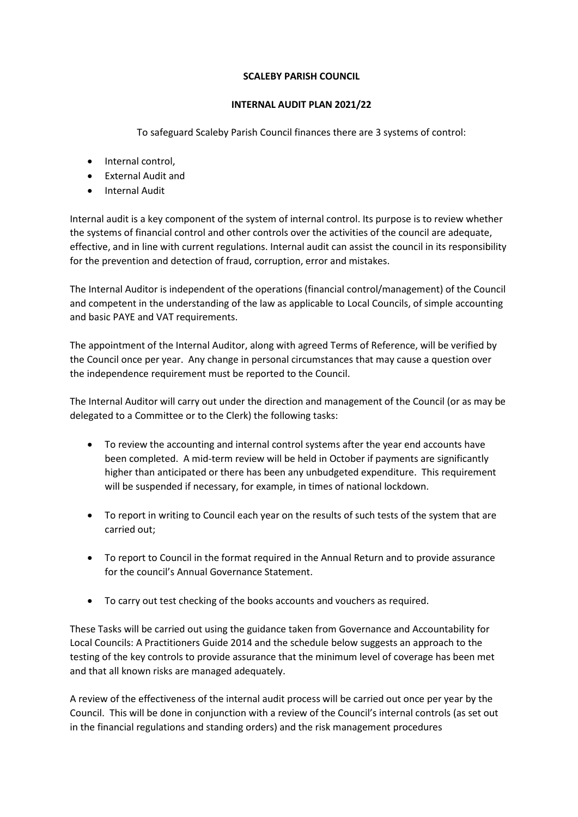#### **SCALEBY PARISH COUNCIL**

#### **INTERNAL AUDIT PLAN 2021/22**

To safeguard Scaleby Parish Council finances there are 3 systems of control:

- Internal control,
- External Audit and
- Internal Audit

Internal audit is a key component of the system of internal control. Its purpose is to review whether the systems of financial control and other controls over the activities of the council are adequate, effective, and in line with current regulations. Internal audit can assist the council in its responsibility for the prevention and detection of fraud, corruption, error and mistakes.

The Internal Auditor is independent of the operations (financial control/management) of the Council and competent in the understanding of the law as applicable to Local Councils, of simple accounting and basic PAYE and VAT requirements.

The appointment of the Internal Auditor, along with agreed Terms of Reference, will be verified by the Council once per year. Any change in personal circumstances that may cause a question over the independence requirement must be reported to the Council.

The Internal Auditor will carry out under the direction and management of the Council (or as may be delegated to a Committee or to the Clerk) the following tasks:

- To review the accounting and internal control systems after the year end accounts have been completed. A mid-term review will be held in October if payments are significantly higher than anticipated or there has been any unbudgeted expenditure. This requirement will be suspended if necessary, for example, in times of national lockdown.
- To report in writing to Council each year on the results of such tests of the system that are carried out;
- To report to Council in the format required in the Annual Return and to provide assurance for the council's Annual Governance Statement.
- To carry out test checking of the books accounts and vouchers as required.

These Tasks will be carried out using the guidance taken from Governance and Accountability for Local Councils: A Practitioners Guide 2014 and the schedule below suggests an approach to the testing of the key controls to provide assurance that the minimum level of coverage has been met and that all known risks are managed adequately.

A review of the effectiveness of the internal audit process will be carried out once per year by the Council. This will be done in conjunction with a review of the Council's internal controls (as set out in the financial regulations and standing orders) and the risk management procedures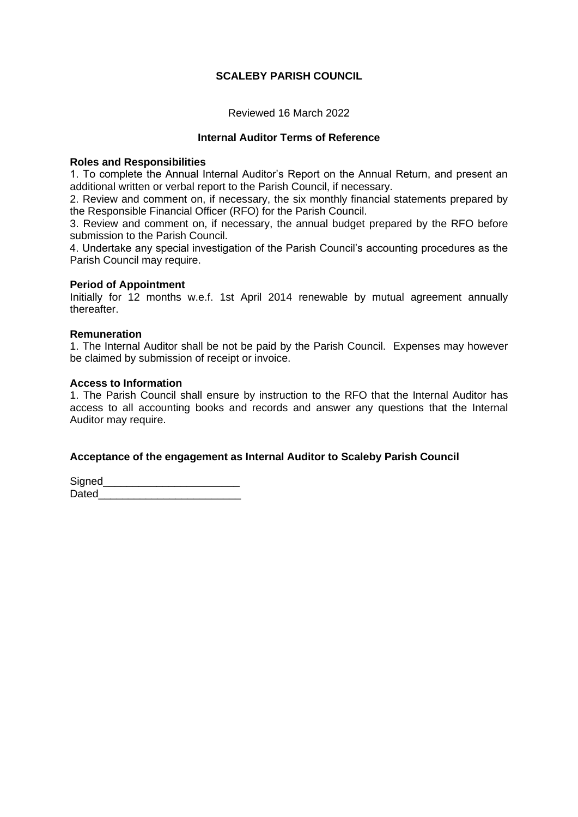#### **SCALEBY PARISH COUNCIL**

Reviewed 16 March 2022

#### **Internal Auditor Terms of Reference**

#### **Roles and Responsibilities**

1. To complete the Annual Internal Auditor's Report on the Annual Return, and present an additional written or verbal report to the Parish Council, if necessary.

2. Review and comment on, if necessary, the six monthly financial statements prepared by the Responsible Financial Officer (RFO) for the Parish Council.

3. Review and comment on, if necessary, the annual budget prepared by the RFO before submission to the Parish Council.

4. Undertake any special investigation of the Parish Council's accounting procedures as the Parish Council may require.

#### **Period of Appointment**

Initially for 12 months w.e.f. 1st April 2014 renewable by mutual agreement annually thereafter.

#### **Remuneration**

1. The Internal Auditor shall be not be paid by the Parish Council. Expenses may however be claimed by submission of receipt or invoice.

#### **Access to Information**

1. The Parish Council shall ensure by instruction to the RFO that the Internal Auditor has access to all accounting books and records and answer any questions that the Internal Auditor may require.

#### **Acceptance of the engagement as Internal Auditor to Scaleby Parish Council**

Signed\_\_\_\_\_ Dated and the set of the set of the set of the set of the set of the set of the set of the set of the set of the set of the set of the set of the set of the set of the set of the set of the set of the set of the set of the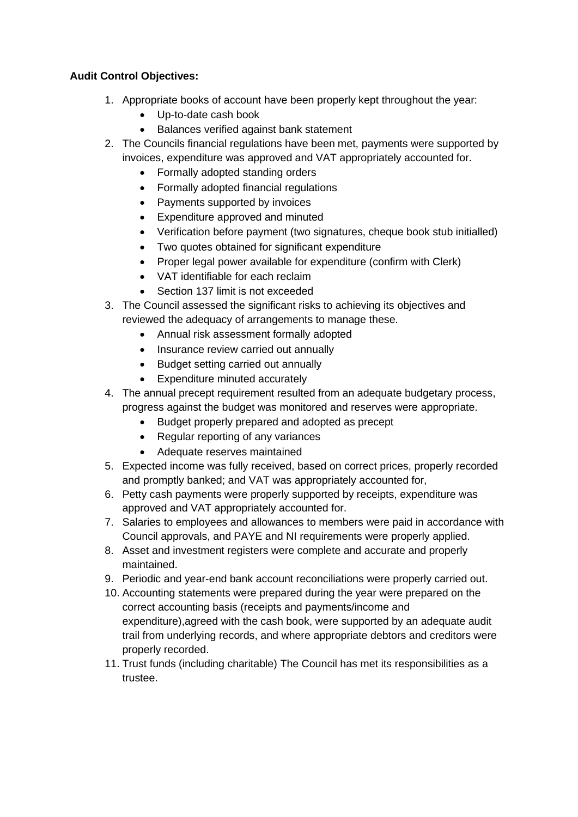# **Audit Control Objectives:**

- 1. Appropriate books of account have been properly kept throughout the year:
	- Up-to-date cash book
	- Balances verified against bank statement
- 2. The Councils financial regulations have been met, payments were supported by invoices, expenditure was approved and VAT appropriately accounted for.
	- Formally adopted standing orders
	- Formally adopted financial regulations
	- Payments supported by invoices
	- Expenditure approved and minuted
	- Verification before payment (two signatures, cheque book stub initialled)
	- Two quotes obtained for significant expenditure
	- Proper legal power available for expenditure (confirm with Clerk)
	- VAT identifiable for each reclaim
	- Section 137 limit is not exceeded
- 3. The Council assessed the significant risks to achieving its objectives and reviewed the adequacy of arrangements to manage these.
	- Annual risk assessment formally adopted
	- Insurance review carried out annually
	- Budget setting carried out annually
	- Expenditure minuted accurately
- 4. The annual precept requirement resulted from an adequate budgetary process, progress against the budget was monitored and reserves were appropriate.
	- Budget properly prepared and adopted as precept
	- Regular reporting of any variances
	- Adequate reserves maintained
- 5. Expected income was fully received, based on correct prices, properly recorded and promptly banked; and VAT was appropriately accounted for,
- 6. Petty cash payments were properly supported by receipts, expenditure was approved and VAT appropriately accounted for.
- 7. Salaries to employees and allowances to members were paid in accordance with Council approvals, and PAYE and NI requirements were properly applied.
- 8. Asset and investment registers were complete and accurate and properly maintained.
- 9. Periodic and year-end bank account reconciliations were properly carried out.
- 10. Accounting statements were prepared during the year were prepared on the correct accounting basis (receipts and payments/income and expenditure),agreed with the cash book, were supported by an adequate audit trail from underlying records, and where appropriate debtors and creditors were properly recorded.
- 11. Trust funds (including charitable) The Council has met its responsibilities as a trustee.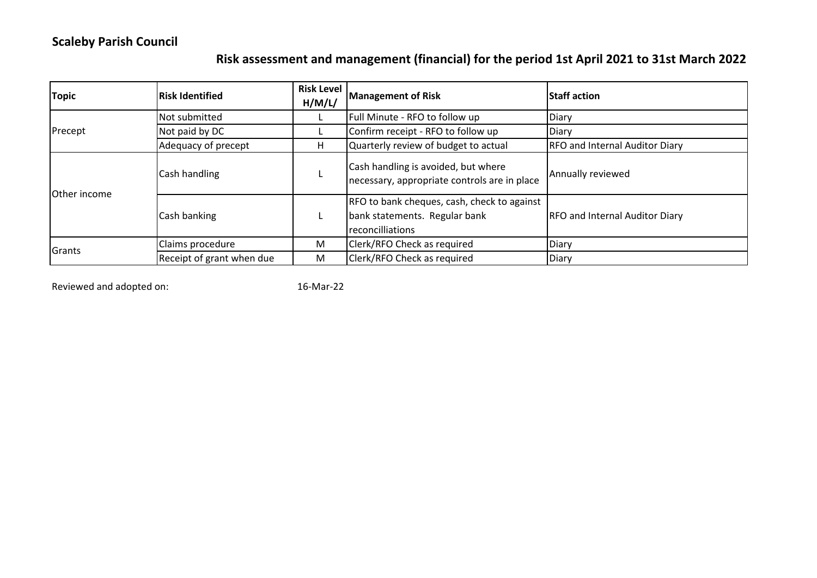# **Scaleby Parish Council**

# **Risk assessment and management (financial) for the period 1st April 2021 to 31st March 2022**

| <b>Topic</b>        | <b>Risk Identified</b>    | <b>Risk Level</b><br>H/M/L/ | <b>Management of Risk</b>                                                                        | <b>Staff action</b>                   |  |  |
|---------------------|---------------------------|-----------------------------|--------------------------------------------------------------------------------------------------|---------------------------------------|--|--|
|                     | Not submitted             |                             | Full Minute - RFO to follow up                                                                   | Diary                                 |  |  |
| Precept             | Not paid by DC            |                             | Confirm receipt - RFO to follow up                                                               | Diary                                 |  |  |
|                     | Adequacy of precept       | H                           | Quarterly review of budget to actual                                                             | <b>RFO and Internal Auditor Diary</b> |  |  |
| <b>Other income</b> | Cash handling             |                             | Cash handling is avoided, but where<br>necessary, appropriate controls are in place              | Annually reviewed                     |  |  |
|                     | Cash banking              |                             | RFO to bank cheques, cash, check to against<br>bank statements. Regular bank<br>reconcilliations | <b>RFO and Internal Auditor Diary</b> |  |  |
|                     | Claims procedure          | M                           | Clerk/RFO Check as required                                                                      | Diary                                 |  |  |
| Grants              | Receipt of grant when due | M                           | Clerk/RFO Check as required                                                                      | Diary                                 |  |  |

Reviewed and adopted on: 16-Mar-22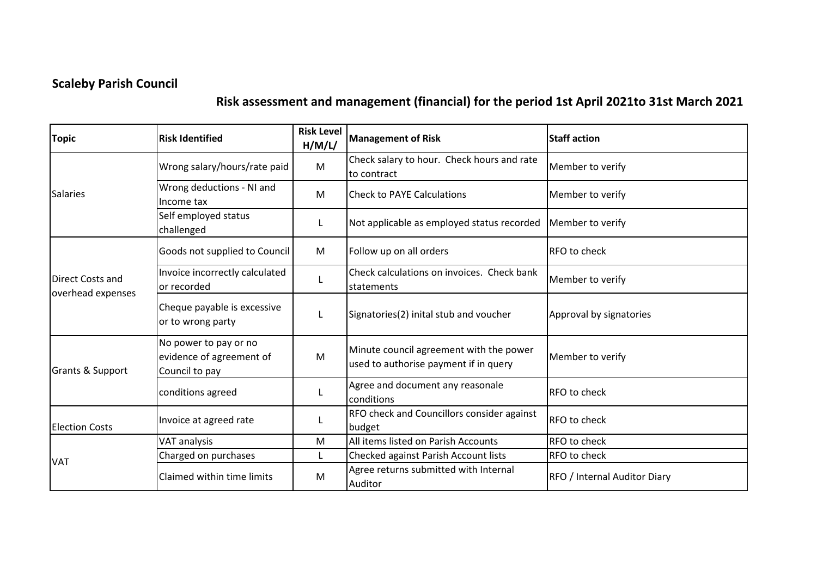# **Scaleby Parish Council**

# **Risk assessment and management (financial) for the period 1st April 2021to 31st March 2021**

| <b>Risk Identified</b><br><b>Topic</b> |                                                                     | <b>Risk Level</b><br>H/M/L/ | <b>Management of Risk</b>                                                        | <b>Staff action</b>          |  |  |
|----------------------------------------|---------------------------------------------------------------------|-----------------------------|----------------------------------------------------------------------------------|------------------------------|--|--|
|                                        | Wrong salary/hours/rate paid                                        | M                           | Check salary to hour. Check hours and rate<br>to contract                        | Member to verify             |  |  |
| <b>Salaries</b>                        | Wrong deductions - NI and<br>Income tax                             | M                           | <b>Check to PAYE Calculations</b>                                                | Member to verify             |  |  |
|                                        | Self employed status<br>challenged                                  |                             | Not applicable as employed status recorded                                       | Member to verify             |  |  |
|                                        | Goods not supplied to Council                                       | M                           | Follow up on all orders                                                          | RFO to check                 |  |  |
| Direct Costs and                       | Invoice incorrectly calculated<br>or recorded                       |                             | Check calculations on invoices. Check bank<br>statements                         | Member to verify             |  |  |
| overhead expenses                      | Cheque payable is excessive<br>or to wrong party                    |                             | Signatories(2) inital stub and voucher                                           | Approval by signatories      |  |  |
| <b>Grants &amp; Support</b>            | No power to pay or no<br>evidence of agreement of<br>Council to pay | M                           | Minute council agreement with the power<br>used to authorise payment if in query | Member to verify             |  |  |
|                                        | conditions agreed                                                   |                             | Agree and document any reasonale<br>conditions                                   | RFO to check                 |  |  |
| <b>Election Costs</b>                  | Invoice at agreed rate                                              |                             | RFO check and Councillors consider against<br>budget                             | <b>RFO</b> to check          |  |  |
|                                        | VAT analysis                                                        | M                           | All items listed on Parish Accounts                                              | RFO to check                 |  |  |
|                                        | Charged on purchases                                                | L                           | Checked against Parish Account lists                                             | RFO to check                 |  |  |
| <b>VAT</b>                             | Claimed within time limits                                          | M                           | Agree returns submitted with Internal<br>Auditor                                 | RFO / Internal Auditor Diary |  |  |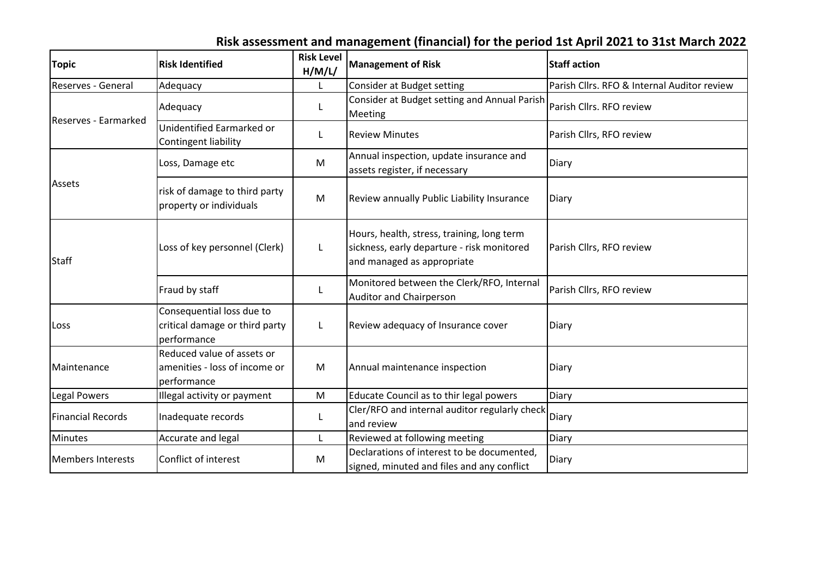# **Risk assessment and management (financial) for the period 1st April 2021 to 31st March 2022**

| <b>Topic</b>             | <b>Risk Identified</b>                                                     | <b>Risk Level</b><br>H/M/L/ | <b>Management of Risk</b>                                                                                              | <b>Staff action</b>                         |  |  |  |
|--------------------------|----------------------------------------------------------------------------|-----------------------------|------------------------------------------------------------------------------------------------------------------------|---------------------------------------------|--|--|--|
| Reserves - General       | Adequacy                                                                   |                             | Consider at Budget setting                                                                                             | Parish Cllrs. RFO & Internal Auditor review |  |  |  |
| Reserves - Earmarked     | Adequacy                                                                   | L                           | Consider at Budget setting and Annual Parish<br>Meeting                                                                | Parish Cllrs. RFO review                    |  |  |  |
|                          | Unidentified Earmarked or<br>Contingent liability                          | L                           | <b>Review Minutes</b>                                                                                                  | Parish Cllrs, RFO review                    |  |  |  |
|                          | Loss, Damage etc                                                           | M                           | Annual inspection, update insurance and<br>assets register, if necessary                                               | <b>Diary</b>                                |  |  |  |
| Assets                   | risk of damage to third party<br>property or individuals                   | M                           | Review annually Public Liability Insurance                                                                             | Diary                                       |  |  |  |
| <b>Staff</b>             | Loss of key personnel (Clerk)                                              | L                           | Hours, health, stress, training, long term<br>sickness, early departure - risk monitored<br>and managed as appropriate | Parish Cllrs, RFO review                    |  |  |  |
|                          | Fraud by staff                                                             | L                           | Monitored between the Clerk/RFO, Internal<br><b>Auditor and Chairperson</b>                                            | Parish Cllrs, RFO review                    |  |  |  |
| Loss                     | Consequential loss due to<br>critical damage or third party<br>performance | L                           | Review adequacy of Insurance cover                                                                                     | Diary                                       |  |  |  |
| Maintenance              | Reduced value of assets or<br>amenities - loss of income or<br>performance | M                           | Annual maintenance inspection                                                                                          | Diary                                       |  |  |  |
| Legal Powers             | Illegal activity or payment                                                | M                           | Educate Council as to thir legal powers                                                                                | Diary                                       |  |  |  |
| <b>Financial Records</b> | Inadequate records                                                         | L                           | Cler/RFO and internal auditor regularly check<br>and review                                                            | Diary                                       |  |  |  |
| <b>Minutes</b>           | Accurate and legal                                                         | L                           | Reviewed at following meeting                                                                                          | Diary                                       |  |  |  |
| <b>Members Interests</b> | Conflict of interest                                                       | M                           | Declarations of interest to be documented.<br>signed, minuted and files and any conflict                               | Diary                                       |  |  |  |